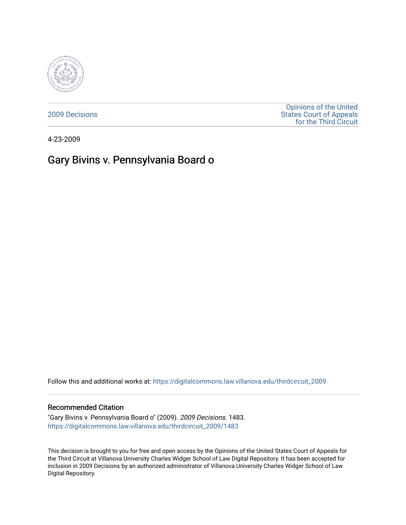

[2009 Decisions](https://digitalcommons.law.villanova.edu/thirdcircuit_2009)

[Opinions of the United](https://digitalcommons.law.villanova.edu/thirdcircuit)  [States Court of Appeals](https://digitalcommons.law.villanova.edu/thirdcircuit)  [for the Third Circuit](https://digitalcommons.law.villanova.edu/thirdcircuit) 

4-23-2009

# Gary Bivins v. Pennsylvania Board o

Follow this and additional works at: [https://digitalcommons.law.villanova.edu/thirdcircuit\\_2009](https://digitalcommons.law.villanova.edu/thirdcircuit_2009?utm_source=digitalcommons.law.villanova.edu%2Fthirdcircuit_2009%2F1483&utm_medium=PDF&utm_campaign=PDFCoverPages) 

### Recommended Citation

"Gary Bivins v. Pennsylvania Board o" (2009). 2009 Decisions. 1483. [https://digitalcommons.law.villanova.edu/thirdcircuit\\_2009/1483](https://digitalcommons.law.villanova.edu/thirdcircuit_2009/1483?utm_source=digitalcommons.law.villanova.edu%2Fthirdcircuit_2009%2F1483&utm_medium=PDF&utm_campaign=PDFCoverPages) 

This decision is brought to you for free and open access by the Opinions of the United States Court of Appeals for the Third Circuit at Villanova University Charles Widger School of Law Digital Repository. It has been accepted for inclusion in 2009 Decisions by an authorized administrator of Villanova University Charles Widger School of Law Digital Repository.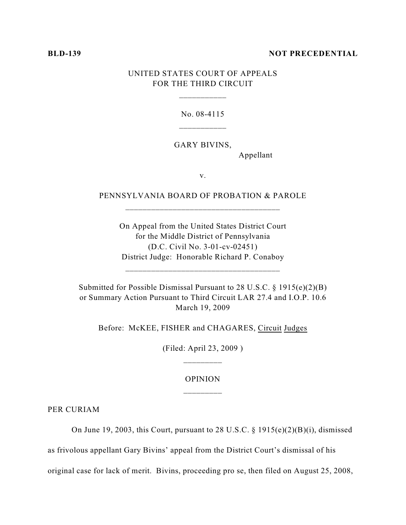#### **BLD-139 NOT PRECEDENTIAL**

# UNITED STATES COURT OF APPEALS FOR THE THIRD CIRCUIT

\_\_\_\_\_\_\_\_\_\_\_

No. 08-4115

GARY BIVINS,

Appellant

v.

PENNSYLVANIA BOARD OF PROBATION & PAROLE \_\_\_\_\_\_\_\_\_\_\_\_\_\_\_\_\_\_\_\_\_\_\_\_\_\_\_\_\_\_\_\_\_\_\_\_

On Appeal from the United States District Court for the Middle District of Pennsylvania (D.C. Civil No. 3-01-cv-02451) District Judge: Honorable Richard P. Conaboy

\_\_\_\_\_\_\_\_\_\_\_\_\_\_\_\_\_\_\_\_\_\_\_\_\_\_\_\_\_\_\_\_\_\_\_\_

Submitted for Possible Dismissal Pursuant to 28 U.S.C. § 1915(e)(2)(B) or Summary Action Pursuant to Third Circuit LAR 27.4 and I.O.P. 10.6 March 19, 2009

Before: McKEE, FISHER and CHAGARES, Circuit Judges

(Filed: April 23, 2009 )

## OPINION \_\_\_\_\_\_\_\_\_

PER CURIAM

On June 19, 2003, this Court, pursuant to 28 U.S.C. § 1915(e)(2)(B)(i), dismissed

as frivolous appellant Gary Bivins' appeal from the District Court's dismissal of his

original case for lack of merit. Bivins, proceeding pro se, then filed on August 25, 2008,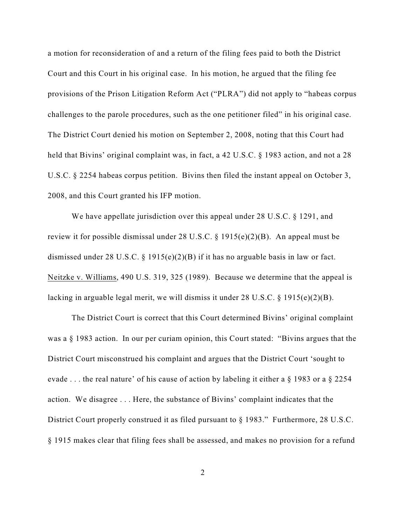a motion for reconsideration of and a return of the filing fees paid to both the District Court and this Court in his original case. In his motion, he argued that the filing fee provisions of the Prison Litigation Reform Act ("PLRA") did not apply to "habeas corpus challenges to the parole procedures, such as the one petitioner filed" in his original case. The District Court denied his motion on September 2, 2008, noting that this Court had held that Bivins' original complaint was, in fact, a 42 U.S.C. § 1983 action, and not a 28 U.S.C. § 2254 habeas corpus petition. Bivins then filed the instant appeal on October 3, 2008, and this Court granted his IFP motion.

We have appellate jurisdiction over this appeal under 28 U.S.C. § 1291, and review it for possible dismissal under 28 U.S.C. § 1915(e)(2)(B). An appeal must be dismissed under 28 U.S.C. § 1915(e)(2)(B) if it has no arguable basis in law or fact. Neitzke v. Williams, 490 U.S. 319, 325 (1989). Because we determine that the appeal is lacking in arguable legal merit, we will dismiss it under 28 U.S.C. § 1915(e)(2)(B).

The District Court is correct that this Court determined Bivins' original complaint was a § 1983 action. In our per curiam opinion, this Court stated: "Bivins argues that the District Court misconstrued his complaint and argues that the District Court 'sought to evade . . . the real nature' of his cause of action by labeling it either a § 1983 or a § 2254 action. We disagree . . . Here, the substance of Bivins' complaint indicates that the District Court properly construed it as filed pursuant to § 1983." Furthermore, 28 U.S.C. § 1915 makes clear that filing fees shall be assessed, and makes no provision for a refund